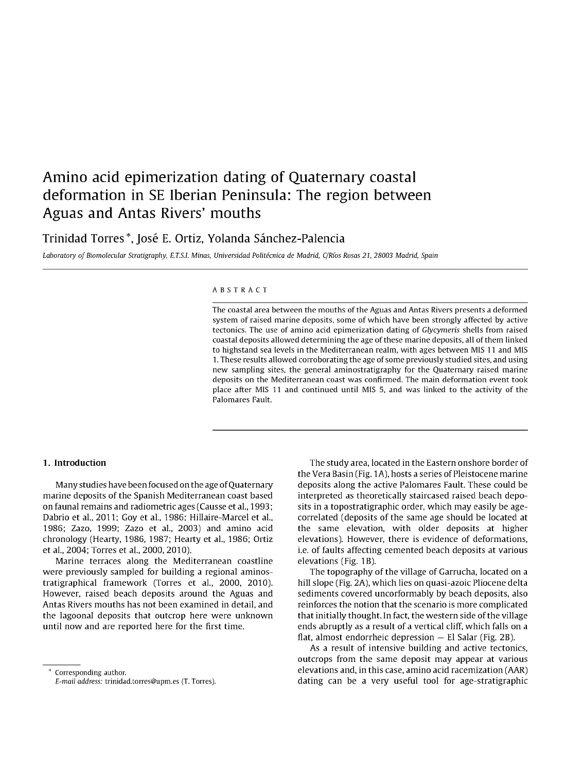# **Amino acid epimerization dating of Quaternary coastal deformation in SE Iberian Peninsula: The region between Aguas and Antas Rivers' mouths**

# Trinidad Torres \*, José E. Ortiz, Yolanda Sánchez-Palencia

Laboratory of Biomolecular Stratigraphy, E.T.S.!. Minas, Universidad Politécnica de Madrid, CjRíos Rosas 21,28003 Madrid, Spain

#### ABSTRACT

The coastal area between the mouths ofthe Aguas and Antas Rivers presents a deformed system of raised marine deposits, some of which have been strongly affected by active tectonics. The use of amino acid epimerization dating of Glycymeris shells from raised coastal deposits allowed determining the age ofthese marine deposits, all ofthem linked to highstand sea levels in the Mediterranean realm, with ages between MIS 11 and MIS 1. These results allowed corroborating the age ofsome previously studied sites, and using new sampling sites, the general aminostratigraphy for the Quaternary raised marine deposits on the Mediterranean coast was confirmed. The main deformation event took place after MIS 11 and continued until MIS S, and was linked to the activity of the Palomares Fault.

#### 1. Introduction

Many studies have been focused on the age of Quaternary marine deposits of the Spanish Mediterranean coast based on faunal remains and radiometric ages (Causse et al., 1993; Dabrio et al., 2011; Goy et al., 1986; Hillaire-Marcel et al., 1986; Zazo, 1999; Zazo et al., 2003) and amino acid chronology (Hearty, 1986, 1987; Hearty et al., 1986; Ortiz et al., 2004; Torres et al., 2000, 2010),

Marine terraces along the Mediterranean coastline were previously sampled for building a regional aminostratigraphical framework (Torres et al., 2000, 2010), However, raised beach deposits around the Aguas and Antas Rivers mouths has not been examined in detail, and the lagoonal deposits that outcrop here were unknown until now and are reported here for the first time,

\* Corresponding author.

E-mail address: trinidad.torres@upm.es (T. Torres).

The study area, located in the Eastern onshore border of the Vera Basin (Fig. 1A), hosts a series of Pleistocene marine deposits along the active Palomares Fault. These could be interpreted as theoretically staircased raised beach deposits in a topostratigraphic order, which may easily be agecorrelated (deposits of the same age should be located at the same elevation, with older deposits at higher elevations). However, there is evidence of deformations, i.e. of faults affecting cemented beach deposits at various elevations (Fig. 1B).

The topography of the village of Garrucha, located on a hill slope (Fig. 2A), which lies on quasi-azoic Pliocene delta sediments covered uncorformably by beach deposits, also reinforces the notion that the scenario is more complicated that initially thought. In fact, the western side of the village ends abruptly as a result of a vertical cliff, which falls on a flat, almost endorrheic depression  $-$  El Salar (Fig. 2B).

As a result of intensive building and active tectonics, outcrops from the same deposit may appear at various elevations and, in this case, amino acid racemization (AAR) dating can be a very useful tool for age-stratigraphic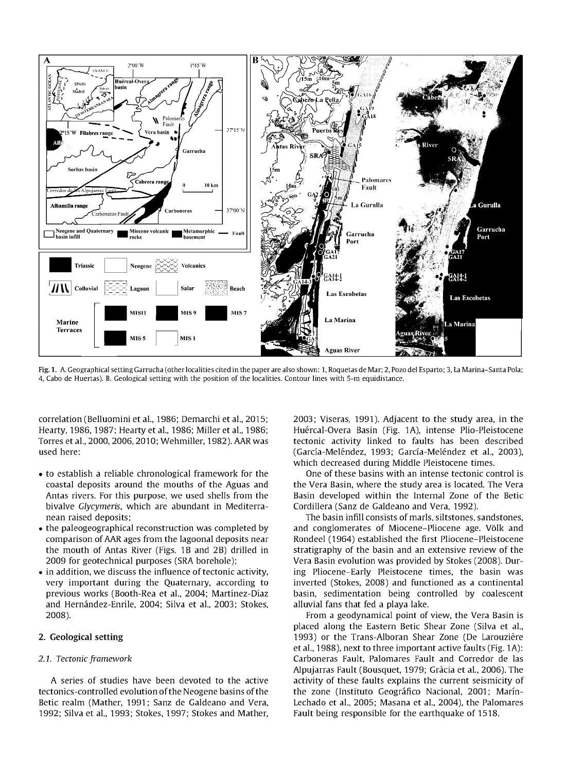

Fig.l. A. Geographical setting Garrucha (other localities cited in the paper are also shown: 1, Roquetas de Mar; 2, Pozo del Esparto; 3, La Marina-Santa Pola; 4, Cabo de Huertas). B. Geological setting with the position of the localities. Contour lines with S-m equidistance.

correlation (Belluomini et al., 1986; Demarchi et al., 2015; Hearty, 1986, 1987; Hearty et al., 1986; Miller et al., 1986; Torres et al., 2000, 2006, 2010; Wehmiller, 1982). AAR was used here:

- to establish a reliable chronological framework for the coastal deposits around the mouths of the Aguas and Antas rivers. For this purpose, we used shells from the bivalve *Glycymeris,* which are abundant in Mediterranean raised deposits;
- the paleogeographical reconstruction was completed by comparison of AAR ages from the lagoonal deposits near the mouth of Antas River (Figs. lB and 2B) drilled in 2009 for geotechnical purposes (SRA borehole);
- $\bullet$  in addition, we discuss the influence of tectonic activity, very important during the Quaternary, according to previous works (Booth-Rea et al., 2004; Martínez-Díaz and Hernández-Enrile, 2004; Silva et al., 2003; Stokes, 2008).

# 2. Geological setting

#### *2.1. Tectonic* framework

A series of studies have been devoted to the active tectonics-controlled evolution of the Neogene basins of the Betic realm (Mather, 1991; Sanz de Galdeano and Vera, 1992; Silva et al., 1993; Stokes, 1997; Stokes and Mather,

2003; Viseras, 1991). Adjacent to the study area, in the Huércal-Overa Basin (Fig. 1A), intense Plio-Pleistocene tectonic activity linked to faults has been described (García-Meléndez, 1993; García-Meléndez et al., 2003), which decreased during Middle Pleistocene times.

One of these basins with an intense tectonic control is the Vera Basin, where the study area is located. The Vera Basin developed within the Internal Zone of the Betic Cordillera (Sanz de Galdeano and Vera, 1992).

The basin infill consists of marls, siltstones, sandstones, and conglomerates of Miocene-Pliocene age. Völk and Rondeel (1964) established the first Pliocene-Pleistocene stratigraphy of the basin and an extensive review of the Vera Basin evolution was provided by Stokes (2008). During Pliocene-Early Pleistocene times, the basin was inverted (Stokes, 2008) and functioned as a continental basin, sedimentation being controlled by coalescent alluvial fans that fed a playa lake.

From a geodynamical point of view, the Vera Basin is placed along the Eastern Betic Shear Zone (Silva et al., 1993) or the Trans-Alboran Shear Zone (De Larouzière et al., 1988), next to three important active faults (Fig. 1A): Carboneras Fault, Palomares Fault and Corredor de las Alpujarras Fault (Bousquet, 1979; Gracia et al., 2006). The activity of these faults explains the current seismicity of the zone (Instituto Geográfico Nacional, 2001; Marín-Lechado et al., 2005; Masana et al., 2004), the Palomares Fault being responsible for the earthquake of 1518.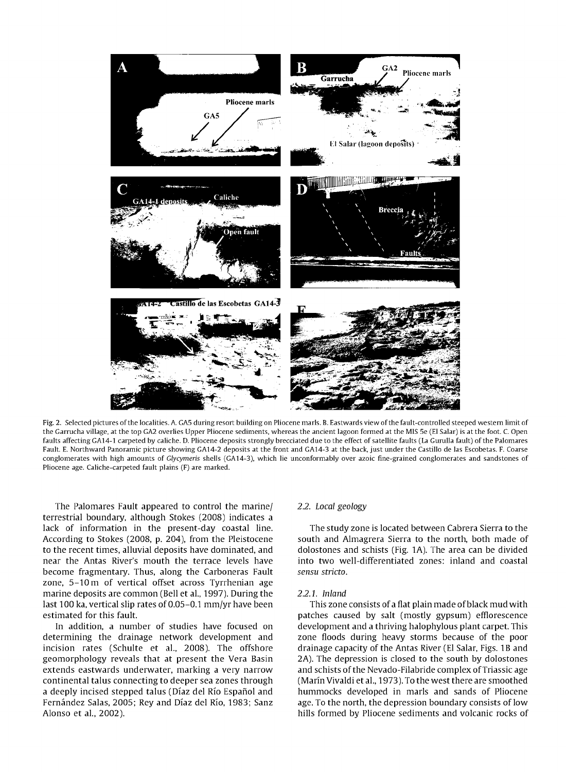

Fig.2. Selected pictures ofthe localities. A. GAS during resort building on Pliocene marls. B. Eastwards view ofthe fault-controlled steeped western limit of the Garrucha village, at the top GA2 overlies Upper Pliocene sediments, whereas the ancient lagoon formed at the MIS Se (El Salar) is at the foot. C. Open faults affecting GA14-1 carpeted by caliche. D. Pliocene deposits strongly brecciated due to the effect of satellite faults (La Gurulla fault) of the Palomares Fault. E. Northward Panoramic picture showing GA14-2 deposits at the front and GA14-3 at the back, just under the Castillo de las Escobetas. F. Coarse conglomerates with high amounts of Glycymeris shells (GA14-3), which lie unconformably over azoic fine-grained conglomerates and sandstones of Pliocene age. Caliche-carpeted fault plains (F) are marked.

The Palomares Fault appeared to control the marine/ terrestrial boundary, although Stokes (2008) indicates a lack of information in the present-day coastal line. According to Stokes (2008, p. 204), from the Pleistocene to the recent times, alluvial deposits have dominated, and near the Antas River's mouth the terrace levels have become fragmentary. Thus, along the Carboneras Fault zone, S-10m of vertical offset across Tyrrhenian age marine deposits are common (Bell et al., 1997). During the last 100 ka, vertical slip rates of 0.05-0.1 mm/yr have been estimated for this fault.

In addition, a number of studies have focused on determining the drainage network development and incision rates (Schulte et al., 2008). The offshore geomorphology reveals that at present the Vera Basin extends eastwards underwater, marking a very narrow continental talus connecting to deeper sea zones through a deeply incised stepped talus (Díaz del Río Español and Fernández Salas, 2005; Rey and Díaz del Río, 1983; Sanz Alonso et al., 2002).

#### *2.2. Local geology*

The study zone is located between Cabrera Sierra to the south and Almagrera Sierra to the north, both made of dolostones and schists (Fig. 1A). The area can be divided into two well-differentiated zones: inland and coastal *sensu stricto.*

#### *2.2.1. Inland*

This zone consists of a flat plain made ofblack mud with patches caused by salt (mostly gypsum) efflorescence development and a thriving halophylous plant carpet. This zone floods during heavy storms because of the poor drainage capacity of the Antas River (El Salar, Figs. 1Band 2A). The depression is closed to the south by dolostones and schists of the Nevado-Filabride complex of Triassic age (Marín Vivaldi et al., 1973). To the west there are smoothed hummocks developed in marls and sands of Pliocene age. To the north, the depression boundary consists of low hills formed by Pliocene sediments and volcanic rocks of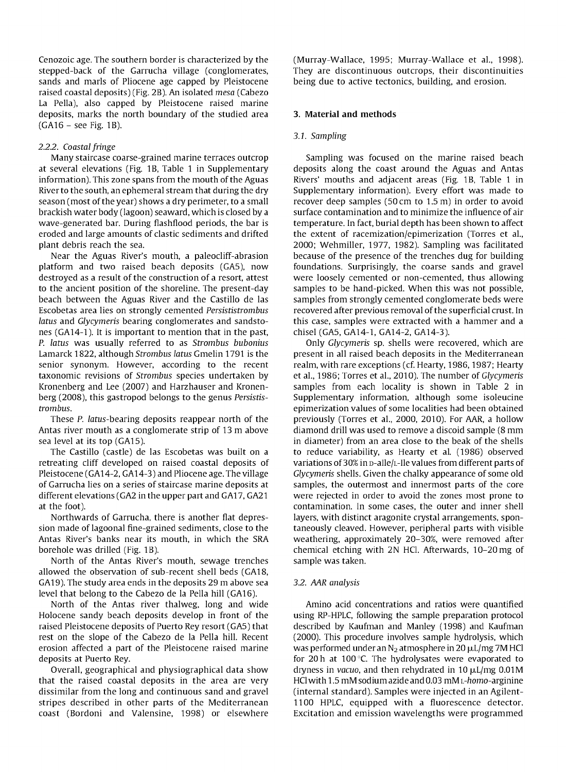Cenozoic age. The southern border is characterized by the stepped-back of the Garrucha village (conglomerates, sands and marls of Pliocene age capped by Pleistocene raised coastal deposits) (Fig. 2B). An isolated *mesa* (Cabezo La Pella), also capped by Pleistocene raised marine deposits, marks the north boundary of the studied area  $(GA16 - see Fig. 1B).$ 

# *2.2.2. Coastal fringe*

Many staircase coarse-grained marine terraces outcrop at several elevations (Fig. 1B, Table 1 in Supplementary information). This zone spans from the mouth of the Aguas River to the south, an ephemeral stream that during the dry season (most of the year) shows a dry perimeter, to a small brackish water body (lagoon) seaward, which is closed by a wave-generated bar. During flashflood periods, the bar is eroded and large amounts of clastic sediments and drifted plant debris reach the sea.

Near the Aguas River's mouth, a paleocliff-abrasion platform and two raised beach deposits (GAS), now destroyed as a result of the construction of a resort, attest to the ancient position of the shoreline. The present-day beach between the Aguas River and the Castillo de las Escobetas area lies on strongly cemented *Persististrombus latus* and *Glycymeris* bearing conglomerates and sandstones (GA14-1). lt is important to mention that in the past, *P. latus* was usually referred to as *Strombus bubonius* Lamarck 1822, although *Strombus latus* Gmelin 1791 is the senior synonym. However, according to the recent taxonomic revisions of *Strombus* species undertaken by Kronenberg and Lee (2007) and Harzhauser and Kronenberg (2008), this gastropod belongs to the genus *Persististrombus.*

These P. latus-bearing deposits reappear north of the Antas river mouth as a conglomerate strip of 13 m aboye sea level at its top (GA15).

The Castillo (castle) de las Escobetas was built on a retreating cliff developed on raised coastal deposits of Pleistocene (GA14-2, GA14-3) and Pliocene age. The village of Garrucha lies on a series of staircase marine deposits at different elevations (GA2 in the upper part and GA17, GA21 at the foot).

Northwards of Garrucha, there is another flat depression made of lagoonal fine-grained sediments, close to the Antas River's banks near its mouth, in which the SRA borehole was drilled (Fig. 1B).

North of the Antas River's mouth, sewage trenches allowed the observation of sub-recent shell beds (GA18, GA19). The study area ends in the deposits 29 m aboye sea level that belong to the Cabezo de la Pella hill (GA16).

North of the Antas river thalweg, long and wide Holocene sandy beach deposits develop in front of the raised Pleistocene deposits of Puerto Rey resort (GAS) that rest on the slope of the Cabezo de la Pella hill. Recent erosion affected a part of the Pleistocene raised marine deposits at Puerto Rey.

Overall, geographical and physiographical data show that the raised coastal deposits in the area are very dissimilar from the long and continuous sand and gravel stripes described in other parts of the Mediterranean coast (Bordoni and Valensine, 1998) or elsewhere (Murray-Wallace, 1995; Murray-Wallace et al., 1998). They are discontinuous outcrops, their discontinuities being due to active tectonics, building, and erosion.

# 3. Material and methods

## *3.1. Sampling*

Sampling was focused on the marine raised beach deposits along the coast around the Aguas and Antas Rivers' mouths and adjacent areas (Fig. 1B, Table 1 in Supplementary information). Every effort was made to recover deep samples (50cm to 1.5 m) in order to avoid surface contamination and to minimize the influence of air temperature. In fact, burial depth has been shown to affect the extent of racemization/epimerization (Torres et al., 2000; Wehmiller, 1977, 1982). Sampling was facilitated because of the presence of the trenches dug for building foundations. Surprisingly, the coarse sands and gravel were loosely cemented or non-cemented, thus allowing samples to be hand-picked. When this was not possible, samples from strongly cemented conglomerate beds were recovered after previous removal of the superficial crust. In this case, samples were extracted with a hammer and a chisel (GAS, GA14-1, GA14-2, GA14-3).

Only *Glycymeris* sp. shells were recovered, which are present in all raised beach deposits in the Mediterranean realm, with rare exceptions (cf. Hearty, 1986, 1987; Hearty et al., 1986; Torres et al., 2010). The number of *Glycymeris* samples from each locality is shown in Table 2 in Supplementary information, although some isoleucine epimerization values of some localities had been obtained previously (Torres et al., 2000, 2010). For AAR, a hollow diamond drill was used to remove a discoid sample (8 mm in diameter) from an area close to the beak of the shells to reduce variability, as Hearty et al. (1986) observed variations of 30% in p-alle/L-lle values from different parts of *Glycymeris* shells. Given the chalky appearance of some old samples, the outermost and innermost parts of the core were rejected in order to avoid the zones most prone to contamination. In some cases, the outer and inner shell layers, with distinct aragonite crystal arrangements, spontaneously cleaved. However, peripheral parts with visible weathering, approximately 20-30%, were removed after chemical etching with 2N HCl. Afterwards, 10-20 mg of sample was taken.

#### *3.2. AAR analysis*

Amino acid concentrations and ratios were quantified using RP-HPLC, following the sample preparation protocol described by Kaufman and Manley (1998) and Kaufman (2000). This procedure involves sample hydrolysis, which was performed under an  $N_2$  atmosphere in 20  $\mu$ L/mg 7M HCl for 20 h at 100 $^{\circ}$ C. The hydrolysates were evaporated to dryness in *vacuo*, and then rehydrated in 10  $\mu$ L/mg 0.01M HCl with 1.5 mM sodiumazide and 0.03 mM L-homo-arginine (internal standard). Samples were injected in an Agilent-1100 HPLC, equipped with a fluorescence detector. Excitation and emission wavelengths were programmed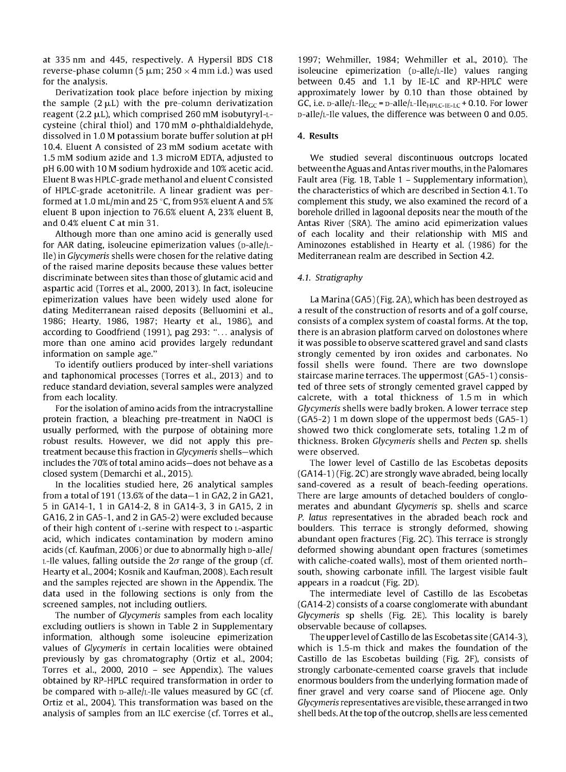at 335 nm and 445, respectively. A Hypersil BOS C18 reverse-phase column (5  $\mu$ m; 250  $\times$  4 mm i.d.) was used for the analysis.

Oerivatization took place before injection by mixing the sample  $(2 \mu L)$  with the pre-column derivatization reagent (2.2  $\mu$ L), which comprised 260 mM isobutyryl-Lcysteine (chiral thiol) and 170 mM o-phthaldialdehyde, dissolved in 1.0 M potassium borate buffer solution at pH *1004.* Eluent A consisted of 23 mM sodium acetate with 1.5 mM sodium azide and 1.3 micraM EOTA, adjusted to pH 6.00 with 10M sodium hydraxide and 10% acetic acid. Eluent Bwas HPLC-grade methanol and eluent Cconsisted of HPLC-grade acetonitrile. A linear gradient was performed at 1.0 mL/min and 25  $\degree$ C, from 95% eluent A and 5% eluent B upon injection to 76.6% eluent A, 23% eluent B, and *004%* eluent Cat min 31.

Although more than one amino acid is generally used for AAR dating, isoleucine epimerization values ( $p$ -alle $/$ Llle) in *Glycymeris* shells were chosen for the relative dating of the raised marine deposits because these values better discriminate between sites than those of glutamic acid and aspartic acid (Torres et al., 2000, 2013). In fact, isoleucine epimerization values have been widely used alone for dating Mediterranean raised deposits (Belluomini et al., 1986; Hearty, 1986, 1987; Hearty et al., 1986), and according to Goodfriend (1991), pag 293: "... analysis of more than one amino acid provides largely redundant information on sample age."

To identify outliers praduced by inter-shell variations and taphonomical processes (Torres et al., 2013) and to reduce standard deviation, several samples were analyzed from each locality.

For the isolation of amino acids from the intracrystalline pratein fraction, a bleaching pre-treatment in NaOCl is usually performed, with the purpose of obtaining more robust results. However, we did not apply this pretreatment because this fraction in *Glycymeris* shells-which includes the 70% of total amino acids-does not behave as a closed system (Oemarchi et al., 2015).

In the localities studied here, 26 analytical samples from a total of 191 (13.6% of the data $-1$  in GA2, 2 in GA21, 5 in GA14-1, 1 in GA14-2, 8 in GA14-3, 3 in GA15, 2 in GA16,2 in GA5-1, and 2 in GA5-2) were excluded because of their high content of L-serine with respect to L-aspartic acid, which indicates contamination by modern amino acids (cf. Kaufman, 2006) or due to abnormally high p-alle/  $L$ -Ile values, falling outside the  $2\sigma$  range of the group (cf. Hearty et al., 2004; Kosnik and Kaufman, 2008). Each result and the samples rejected are shown in the Appendix. The data used in the following sections is only from the screened samples, not including outliers.

The number of *Glycymeris* samples from each locality excluding outliers is shown in Table 2 in Supplementary information, although some isoleucine epimerization values of *Glycymeris* in certain localities were obtained previously by gas chromatography (Ortiz et al., 2004; Torres et al., 2000, 2010 - see Appendix). The values obtained by RP-HPLC required transformation in order to be compared with  $p$ -alle/ $L$ -lle values measured by GC (cf. Ortiz et al., 2004). This transformation was based on the analysis of samples from an ILC exercise (cf. Torres et al.,

1997; Wehmiller, 1984; Wehmiller et al., 2010). The isoleucine epimerization  $(p-\text{alle/L-He})$  values ranging between *0045* and 1.1 by IE-LC and RP-HPLC were appraximately lower by 0.10 than those obtained by GC, i.e.  $p$ -alle/L-lle<sub>GC</sub> =  $p$ -alle/L-lle<sub>HPLC-IE-LC</sub> + 0.10. For lower D-allejL-lle values, the difference was between Oand 0.05.

# 4. Results

We studied several discontinuous outcrops located between the Aguas and Antas river mouths, in the Palomares Fault area (Fig. 1B, Table 1 – Supplementary information), the characteristics ofwhich are described in Section 4.1. To complement this study, we also examined the record of a borehole drilled in lagoonal deposits near the mouth of the Antas River (SRA). The amino acid epimerization values of each locality and their relationship with MIS and Aminozones established in Hearty et al. (1986) for the Mediterranean realm are described in Section 4.2.

# *4.1. Stratigraphy*

La Marina (GA5) (Fig. 2A), which has been destroyed as a result of the construction of resorts and of a golf course, consists of a complex system of coastal forms. At the top, there is an abrasion platform carved on dolostones where it was possible to observe scattered gravel and sand clasts strongly cemented by iron oxides and carbonates. No fossil shells were found. There are two downslope staircase marine terraces. The uppermost (GA5-1) consisted of three sets of strongly cemented gravel capped by calcrete, with a total thickness of 1.5 m in which *Glycymeris* shells were badly braken. A lower terrace step (GA5-2) 1 m down slope of the uppermost beds (GA5-1) showed two thick conglomerate sets, totaling 1.2 m of thickness. Braken *Glycymeris* shells and *Pecten* sp. shells were observed.

The lower level of Castillo de las Escobetas deposits  $(GA14-1)$  (Fig. 2C) are strongly wave abraded, being locally sand-covered as a result of beach-feeding operations. There are large amounts of detached boulders of conglomerates and abundant *Glycymeris* sp. shells and scarce *P. latus* representatives in the abraded beach rock and boulders. This terrace is strongly deformed, showing abundant open fractures (Fig. 2C). This terrace is strongly deformed showing abundant open fractures (sometimes with caliche-coated walls), most of them oriented northsouth, showing carbonate infill. The largest visible fault appears in a raadcut (Fig. 20).

The intermediate level of Castillo de las Escobetas (GA14-2) consists of a coarse conglomerate with abundant *Glycymeris* sp shells (Fig. 2E). This locality is barely observable because of collapses.

The upper level of Castillo de las Escobetas site (GA14-3), which is 1.5-m thick and makes the foundation of the Castillo de las Escobetas building (Fig. 2F), consists of strangly carbonate-cemented coarse gravels that include enormous boulders from the underlying formation made of finer gravel and very coarse sand of Pliocene age. Only *Glycymeris* representatives are visible, these arranged in two shell beds. At the top of the outcrop, shells are less cemented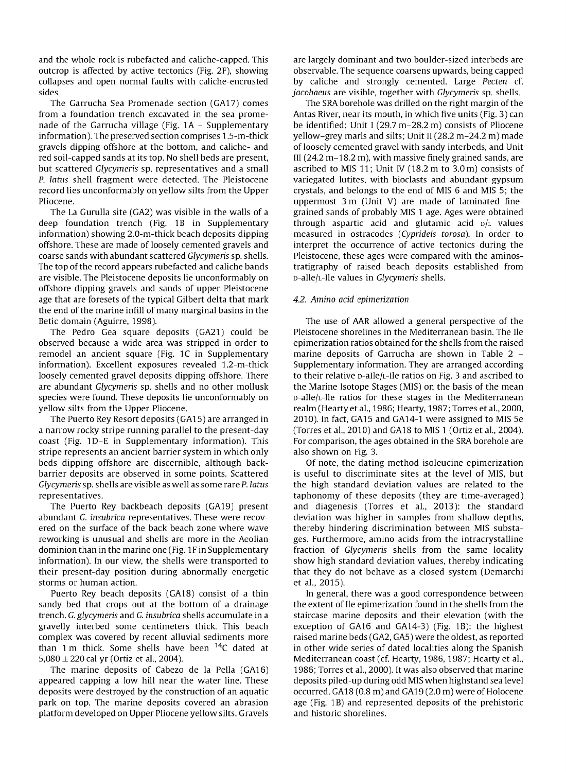and the whole rock is rubefacted and caliche-capped. This outcrop is affected by active tectonics (Fig. 2F), showing collapses and open normal faults with caliehe-encrusted sides.

The Garrucha Sea Promenade section (GA17) comes from a foundation trench excavated in the sea promenade of the Garrucha village (Fig.  $1A -$  Supplementary information). The preserved section comprises 1.5-m-thick gravels dipping offshore at the bottom, and caliehe- and red soil-capped sands at its top. No shell beds are present, but scattered *Glycymeris* sp. representatives and a small *P. la*tus shell fragment were detected. The Pleistocene record lies unconformably on yellow silts from the Upper Pliocene.

The La Gurulla site (GA2) was visible in the walls of a deep foundation trench (Fig. 1B in Supplementary information) showing 2.0-m-thick beach deposits dipping offshore. These are made of loosely cemented gravels and coarse sands with abundant scattered *Glycymeris* sp. shells. The top of the record appears rubefacted and caliche bands are visible. The Pleistocene deposits lie unconformably on offshore dipping gravels and sands of upper Pleistocene age that are foresets of the typical Gilbert delta that mark the end of the marine infill of many marginal basins in the Betic domain (Aguirre, 1998).

The Pedra Gea square deposits (GA21) could be observed because a wide area was stripped in order to remodel an ancient square (Fig. 1C in Supplementary information). Excellent exposures revealed 1.2-m-thick loosely cemented gravel deposits dipping offshore. There are abundant *Glycymeris* sp. shells and no other mollusk species were found. These deposits lie unconformably on yellow silts from the Upper Pliocene.

The Puerto Rey Resort deposits (GA15) are arranged in a narraw racky stripe running parallel to the present-day coast (Fig. 1D-E in Supplementary information). This stripe represents an ancient barrier system in which only beds dipping offshore are discernible, although backbarrier deposits are observed in some points. Scattered *Glycymeris* sp. shells are visible as well as some rare *P. latus* representatives.

The Puerto Rey backbeach deposits (GA19) present abundant G. *insubrica* representatives. These were recovered on the surface of the back beach zone where wave reworking is unusual and shells are more in the Aeolian dominion than in the marine one (Fig. 1Fin Supplementary information). In our view, the shells were transported to their present-day position during abnormally energetic storms or human action.

Puerto Rey beach deposits (GA18) consist of a thin sandy bed that crops out at the bottom of a drainage trench. G. *glycymeris* and G. *insubrica* shells accumulate in a gravelly interbed some centimeters thick. This beach complex was covered by recent alluvial sediments more than 1 m thick. Some shells have been  $14C$  dated at 5,080  $\pm$  220 cal yr (Ortiz et al., 2004).

The marine deposits of Cabezo de la Pella (GA16) appeared capping a low hill near the water line. These deposits were destrayed by the construction of an aquatic park on top. The marine deposits covered an abrasion platform developed on Upper Pliocene yellow silts. Gravels

are largely dominant and two boulder-sized interbeds are observable. The sequence coarsens upwards, being capped by caliche and strongly cemented. Large *Pecten* cf. *jacobaeus* are visible, together with *Glycymeris* sp. shells.

The SRA borehole was drilled on the right margin of the Antas River, near its mouth, in which five units (Fig. 3) can be identified: Unit I (29.7 m-28.2 m) consists of Pliocene yellow-grey marls and silts; Unit <sup>11</sup> (28.2 m-24.2 m) made of loosely cemented gravel with sandy interbeds, and Unit III (24.2 m-18.2 m), with massive finely grained sands, are ascribed to MIS 11; Unit IV (18.2 m to 3.0 m) consists of variegated lutites, with bioclasts and abundant gypsum crystals, and belongs to the end of MIS 6 and MIS 5; the uppermost 3 m (Unit V) are made of laminated finegrained sands of probably MIS 1 age. Ages were obtained through aspartic acid and glutamic acid  $D/L$  values measured in ostracodes *(Cyprideis torosa).* In order to interpret the occurrence of active tectonics during the Pleistocene, these ages were compared with the aminostratigraphy of raised beach deposits established from D-allejL-lle values in *Glycymeris* shells.

# *4.2. Amino acid epimerization*

The use of AAR allowed a general perspective of the Pleistocene shorelines in the Mediterranean basin. The lle epimerization ratios obtained for the shells from the raised marine deposits of Garrucha are shown in Table 2 -Supplementary information. They are arranged according to their relative  $p$ -alle/ $L$ -lle ratios on Fig. 3 and ascribed to the Marine Isotope Stages (MIS) on the basis of the mean D-allejL-lle ratios for these stages in the Mediterranean realm (Hearty et al., 1986; Hearty, 1987; Torres et al., 2000, 2010). In fact, GA15 and GA14-1 were assigned to MIS Se (Torres et al., 2010) and GA18 to MIS 1 (Ortiz et al., 2004). For comparison, the ages obtained in the SRA borehole are also shown on Fig. 3.

Of note, the dating method isoleucine epimerization is useful to discriminate sites at the level of MIS, but the high standard deviation values are related to the taphonomy of these deposits (they are time-averaged) and diagenesis (Torres et al., 2013): the standard deviation was higher in samples from shallow depths, thereby hindering discrimination between MIS substages. Furthermore, amino acids from the intracrystalline fraction of *Glycymeris* shells from the same locality show high standard deviation values, thereby indicating that they do not behave as a closed system (Demarchi et al., 2015).

In general, there was a good correspondence between the extent of Ile epimerization found in the shells from the staircase marine deposits and their elevation (with the exception of GA16 and GA14-3) (Fig. 1B): the highest raised marine beds (GA2, GAS) were the oldest, as reported in other wide series of dated localities along the Spanish Mediterranean coast (cf. Hearty, 1986, 1987; Hearty et al., 1986; Torres et al., 2000). It was also observed that marine deposits piled-up during odd MIS when highstand sea level occurred. GA18  $(0.8 \text{ m})$  and GA19 $(2.0 \text{ m})$  were of Holocene age (Fig. 1B) and represented deposits of the prehistoric and historie shorelines.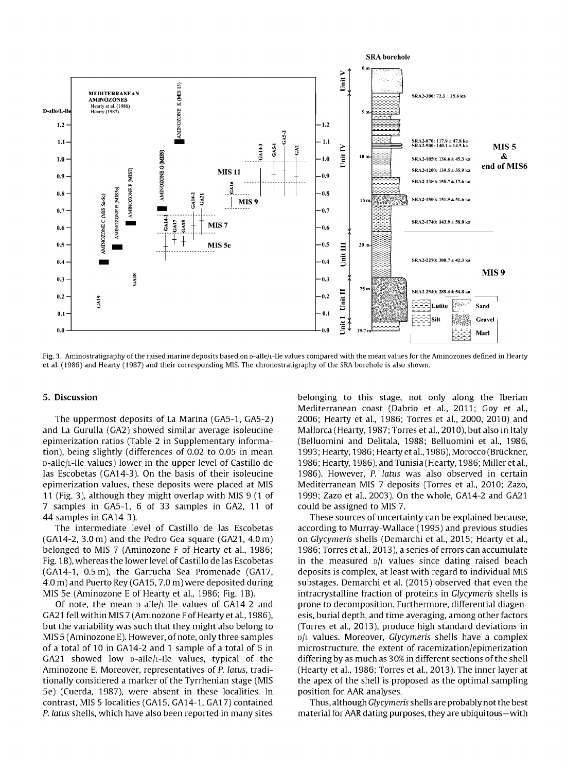

Fig. 3. Aminostratigraphy of the raised marine deposits based on p-alle/<sub>L</sub>-Ile values compared with the mean values for the Aminozones defined in Hearty et aL (1986) and Hearty (1987) and their corresponding MIS. The chronostratigraphy of the SRA borehole is also shown.

## 5. Discussion

The uppermost deposits of La Marina (GA5-1, GA5-2) and La Gurulla (GA2) showed similar average isoleucine epimerization ratios (Table 2 in Supplementary information), being slightly (differences of 0.02 to 0.05 in mean D-aIlejL-Ile values) lower in the upper level of Castillo de las Escobetas (GA14-3). On the basis of their isoleucine epimerization values, these deposits were placed at MIS 11 (Fig. 3), although they might overlap with MIS 9 (1 of 7 samples in GA5-1, 6 of 33 samples in GA2, 11 of 44 samples in GA14-3).

The intermediate level of Castillo de las Escobetas (GA14-2, 3.0m) and the Pedro Gea square (GA21, 4.0m) belonged to MIS 7 (Aminozone F of Hearty et al., 1986; Fig. 1B), whereas the lower level of Castillo de las Escobetas (GA14-1, 0.5m), the Garrucha Sea Promenade (GA17, 4.0 m) and Puerto Rey (GA15, 7.0 m) were deposited during MIS 5e (Aminozone E of Hearty et al., 1986; Fig. 1B).

Of note, the mean  $D$ -alle/ $L$ -Ile values of GA14-2 and GA21 fell within MIS 7 (Aminozone F of Hearty et al., 1986). but the variability was such that they might also belong to MIS 5 (Aminozone E). However, of note, only three samples of a total of 10 in GA14-2 and 1 sample of a total of 6 in GA21 showed low  $D-\text{alle/L-He}$  values, typical of the Aminozone E. Moreover, representatives of P. latus, traditionally considered a marker of the Tyrrhenian stage (MIS 5e) (Cuerda, 1987), were absent in these localities. In contrast, MIS 5 localities (GA15, GA14-1, GA17) contained P. latus shells, which have also been reported in many sites belonging to this stage, not only along the Iberian Mediterranean coast (Dabrio et al., 2011; Goy et al., 2006; Hearty et al., 1986; Torres et al., 2000, 2010) and Mallorca (Hearty, 1987; Torres et al., 2010), but also in Italy (Belluomini and Delitala, 1988; Belluomini et al., 1986, 1993; Hearty, 1986; Hearty et al., 1986), Morocco (Brückner, 1986; Hearty, 1986), and Tunisia (Hearty, 1986; Milleret al., 1986). However, P. latus was also observed in certain Mediterranean MIS 7 deposits (Torres et al., 2010; Zazo, 1999; Zazo et al., 2003). On the whole, GA14-2 and GA21 could be assigned to MIS 7.

These sources of uncertainty can be explained because, according to Murray-Wallace (1995) and previous studies on Glycymeris shells (Demarchi et al., 2015; Hearty et al., 1986; Torres et al., 2013), a series of errors can accumulate in the measured  $D/L$  values since dating raised beach deposits is complex, at least with regard to individual MIS substages. Demarchi et al. (2015) observed that even the intracrystalline fraction of proteins in Glycymeris shells is prone to decomposition. Furthermore, differential diagenesis, burial depth, and time averaging, among other factors (Torres et al., 2013), produce high standard deviations in DjL values. Moreover, Glycymeris shells have a complex microstructure, the extent of racemization/epimerization differing by as much as 30% in different sections ofthe shell (Hearty et al., 1986; Torres et al., 2013). The inner layer at the apex of the shell is proposed as the optimal sampling position for AAR analyses.

Thus, although Glycymeris shells are probably not the best material for AAR dating purposes, they are ubiquitous-with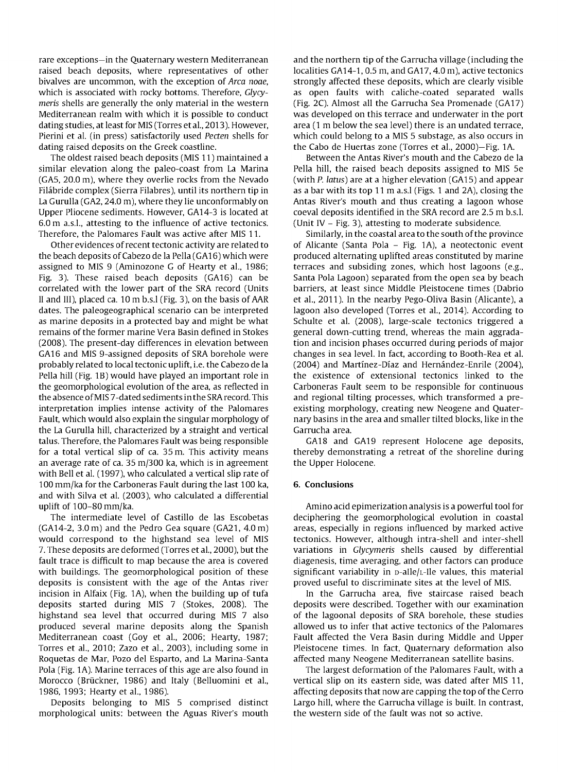rare exceptions-in the Quaternary western Mediterranean raised beach deposits, where representatives of other bivalves are uncommon, with the exception of *Arca noae,* which is associated with rocky bottoms. Therefore, *Glycymeris* shells are generally the only material in the western Mediterranean realm with which it is possible to conduct dating studies, at least for MIS (Torres etal., 2013). However, Pierini et al. (in press) satisfactorily used *Pecten* shells for dating raised deposits on the Greek coastline.

The oldest raised beach deposits (MIS 11) maintained a similar elevation along the paleo-coast from La Marina (GAS, 20.0 m), where they overlie rocks from the Nevado Filábride complex (Sierra Filabres), until its northern tip in La Gurulla (GA2, 24.0 m), where they lie unconformably on Upper Pliocene sediments. However, GA14-3 is located at 6.0 m a.s.l., attesting to the influence of active tectonics. Therefore, the Palomares Fault was active after MIS 11.

Other evidences ofrecent tectonic activity are related to the beach deposits of Cabezo de la Pella (GA16) which were assigned to MIS 9 (Aminozone G of Hearty et al., 1986; Fig. 3). These raised beach deposits (GA16) can be correlated with the lower part of the SRA record (Units <sup>11</sup> and lll), placed ca. 10 m b.s.! (Fig. 3), on the basis of AAR dates. The paleogeographical scenario can be interpreted as marine deposits in a protected bay and might be what remains ofthe former marine Vera Basin defined in Stokes (2008). The present-day differences in elevation between GA16 and MIS 9-assigned deposits of SRA borehole were probably related to local tectonic uplift, i.e. the Cabezo de la Pella hill (Fig. 1B) would have played an important role in the geomorphological evolution of the area, as reflected in the absence ofMIS 7-dated sedimentsin the SRA record. This interpretation implies intense activity of the Palomares Fault, which would also explain the singular morphology of the La Gurulla hill, characterized by a straight and vertical talus. Therefore, the Palomares Fault was being responsible for a total vertical slip of ca. 35 m. This activity means an average rate of ca. 35 m/300 ka, which is in agreement with Bell et al. (1997), who calculated a vertical slip rate of 100 mm/ka for the Carboneras Fault during the last 100 ka, and with Silva et al. (2003), who calculated a differential uplift of 100-80 mm/ka.

The intermediate level of Castillo de las Escobetas (GA14-2, 3.0 m) and the Pedro Gea square (GA21, 4.0 m) would correspond to the highstand sea level of MIS 7. These deposits are deformed (Torres et al., 2000), but the fault trace is difficult to map because the area is covered with buildings. The geomorphological position of these deposits is consistent with the age of the Antas river incision in Alfaix (Fig. 1A), when the building up of tufa deposits started during MIS 7 (Stokes, 2008). The highstand sea level that occurred during MIS 7 also produced several marine deposits along the Spanish Mediterranean coast (Goy et al., 2006; Hearty, 1987; Torres et al., 2010; Zazo et al., 2003), including some in Roquetas de Mar, Pozo del Esparto, and La Marina-Santa Pola (Fig. 1A). Marine terraces of this age are also found in Morocco (Brückner, 1986) and Italy (Belluomini et al., 1986, 1993; Hearty et al., 1986).

Deposits belonging to MIS 5 comprised distinct morphological units: between the Aguas River's mouth

and the northern tip of the Garrucha village (including the localities GA14-1, 0.5 m, and GA17, 4.0 m), active tectonics strongly affected these deposits, which are clearly visible as open faults with caliche-coated separated walls (Fig. 2C). Almost all the Garrucha Sea Promenade (GA17) was developed on this terrace and underwater in the port area (1 m below the sea level) there is an undated terrace, which could belong to a MIS 5 substage, as also occurs in the Cabo de Huertas zone (Torres et al., 2000)-Fig. 1A.

Between the Antas River's mouth and the Cabezo de la Pella hill, the raised beach deposits assigned to MIS Se (with *P. latus)* are at a higher elevation (GA15) and appear as a bar with its top 11 m a.s.! (Figs. 1 and 2A), closing the Antas River's mouth and thus creating a lagoon whose coeval deposits identified in the SRA record are 2.5 m b.s.l. (Unit IV - Fig. 3), attesting to moderate subsidence.

Similarly, in the coastal area to the south of the province of Alicante (Santa Pola - Fig. 1A), a neotectonic event produced alternating uplifted areas constituted by marine terraces and subsiding zones, which host lagoons (e.g., Santa Pola Lagoon) separated from the open sea by beach barriers, at least since Middle Pleistocene times (Dabrio et al., 2011). In the nearby Pego-Oliva Basin (Alicante), a lagoon also developed (Torres et al., 2014). According to Schulte et al. (2008), large-scale tectonics triggered a general down-cutting trend, whereas the main aggradation and incision phases occurred during periods of major changes in sea level. In fact, according to Booth-Rea et al. (2004) and Martínez-Díaz and Hernández-Enrile (2004), the existence of extensional tectonics linked to the Carboneras Fault seem to be responsible for continuous and regional tilting processes, which transformed a preexisting morphology, creating new Neogene and Quaternary basins in the area and smaller tilted blocks, like in the Garrucha area.

GA18 and GA19 represent Holocene age deposits, thereby demonstrating a retreat of the shoreline during the Upper Holocene.

#### 6. Conclusions

Amino acid epimerization analysis is a powerful tool for deciphering the geomorphological evolution in coastal areas, especially in regions influenced by marked active tectonics. However, although intra-shell and inter-shell variations in *Glycymeris* shells caused by differential diagenesis, time averaging, and other factors can produce significant variability in p-alle/L-lle values, this material proved usefui to discriminate sites at the level of MIS.

In the Garrucha area, five staircase raised beach deposits were described. Together with our examination of the lagoonal deposits of SRA borehole, these studies allowed us to infer that active tectonics of the Palomares Fault affected the Vera Basin during Middle and Upper Pleistocene times. In fact, Quaternary deformation also affected many Neogene Mediterranean satellite basins.

The largest deformation of the Palomares Fault, with a vertical slip on its eastern side, was dated after MIS 11, affecting deposits that now are capping the top of the Cerro Largo hill, where the Garrucha village is built. In contrast, the western side of the fault was not so active.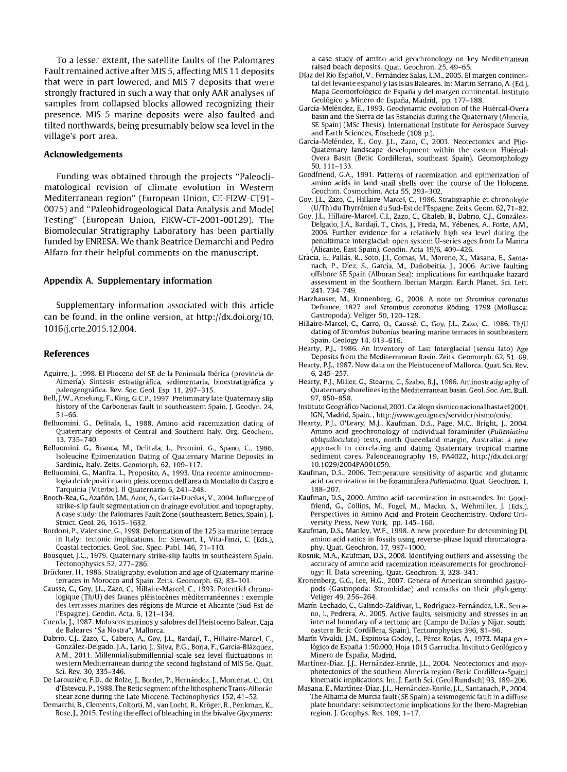To a lesser extent, the satellite faults of the Palomares Fault remained active after MIS 5, affecting MIS 11 deposits that were in part lowered, and MIS 7 deposits that were strongly fractured in such a way that only AAR analyses of samples from collapsed blocks allowed recognizing their presence. MIS 5 marine deposits were also faulted and tilted northwards, being presumably below sea level in the village's port area.

#### **Aclmowledgements**

Funding was obtained through the projects "Paleoclimatological revision of climate evolution in Western Mediterranean region" (European Union, CE-FI2W-CT91- 0075) and "Paleohidrogeological Data Analysis and Model Testing" (European Union, FIKW-CT-2001-00129). The Biomolecular Stratigraphy Laboratory has been partially funded by ENRESA. We thank Beatrice Demarchi and Pedro Alfaro for their helpful comments on the manuscript.

#### Appendix A. Supplementary **information**

Supplementary information associated with this article can be found, in the online version, at http://dx.doi.org/10. 1016jj.crte.2015.12.004.

# **References**

- Aguirre, j., 1998. El Plioceno del SE de la Península Ibérica (provincia de Almería). Síntesis estratigráfica, sedimentaria, bioestratigráfica y paleogeográfica. Rev. Soc. Geol. Esp. 11, 297-315.
- Bell, j.W., Amelung, F., King, G.CP., 1997. Preliminary late Quaternary slip history of the Carboneras fault in southeastern Spain. j. Geodyn. 24, 51-66.
- Belluomini, G., Delitala, L., 1988. Amino acid racemization dating of Quaternary deposits of Central and Southern ltaly. Org. Geochem. 13,735-740.
- Belluomini, G., Branca, M., Delitala, L., Pecorini, G., Spano, C, 1986. Isoleucine Epimerization Dating of Quaternary Marine Deposits in Sardinia, Italy. Zeits. Geomorph. 62, 109-117.
- Belluomini, G., Manfra, L., Proposito, A, 1993. Una recente aminocronologia dei depositi marini pleistocenici dell'area di Montalto di Castro e Tarquinia (Viterbo). <sup>11</sup> Quaternario 6, 241-248.
- Booth-Rea, G., Azañón, J.M., Azor, A., García-Dueñas, V., 2004. Influence of strike-slip fault segmentation on drainage evolution and topography. Acase study: the Palomares Fault Zone (southeastern Betics, Spain). j. Struct. Geol. 26,1615-1632.
- Bordoni, P., Valensine, G., 1998. Deformation of the 125 ka marine terrace in Italy: tectonic implications. In: Stewart, l., Vita-Finzi, C (Eds.), Coastal tectonics. Geol. Soc. Spec. Publ. 146, 71-110.
- Bousquet, j.C, 1979. Quaternary strike-slip faults in southeastern Spain. Tectonophysics 52, 277-286.
- Brückner, H., 1986. Stratigraphy, evolution and age of Quaternary marine terraces in Morocco and Spain. Zeits. Geomorph. 62, 83-101.
- Causse, C, Goy, j.L., Zazo, C, Hillaire-Marcel, C, 1993. Potentiel chronologique (Th/U) des faunes pléistocènes méditerranéennes : exemple des terrasses marines des régions de Murcie et Alicante (Sud-Est de I'Espagne). Geodin. Acta. 6, 121-134.
- Cuerda, j., 1987. Moluscos marinos y salobres del Pleistoceno Balear. Caja de Baleares "Sa Nostra", Mallorca.
- Dabrio, Cj., Zazo, C, Cabero, A, Goy, j.L., Bardají, T., Hillaire-Marcel, C, González-Delgado, J.A., Lafio, j., Silva, P.G., Borja, F., García-Blázquez, AM., 2011. Millennialjsubmillennial-scale sea level fluctuations in western Mediterranean during the second highstand of MIS 5e. Quat. Sci. Rev. 30, 335-346.
- De Larouzière, F.D., de Bolze, J., Bordet, P., Hernández, J., Montenat, C., Ott d'Estevou, P., 1988. The Betic segment of the lithospheric Trans-Alborán shear zone during the Late Miocene. Tectonophysics 152,41-52.
- Demarchi, B., Clements, Coltorti, M., van Locht, R, Kroger, R, Penkman, K., Rose, J., 2015. Testing the effect of bleaching in the bivalve Glycymeris:

a case study of amino acid geochronology on key Mediterranean raised beach deposits. Quat. Geochron. 25, 49-65.

- Díaz del Río Español, V., Fernández Salas, L.M., 2005. El margen continental del levante español y las Islas Baleares. In: Martín Serrano, A (Ed.), Mapa Geomorfológico de España y del margen continental. Instituto Geológico y Minero de España, Madrid, pp. 177-188.
- García-Meléndez, E., 1993. Geodynamic evolution of the Huércal-Overa basin and the Sierra de las Estancias during the Quaternary (Almería, SE Spain) (MSc Thesis). International Institute for Aerospace Survey and Earth Sciences, Enschede (108 p.).
- García-Meléndez, E., Goy, j.L., Zazo, C, 2003. Neotectonics and Plio-Quaternary landscape development within the eastern Huércal-Overa Basin (Betic Cordilleras, southeast Spain). Geomorphology 50,111-133.
- Goodfriend, G.A., 1991. Patterns of racemization and epimerization of amino acids in land snail shells over the course of the Holocene. Geochim. Cosmochim. Acta 55, 293-302.
- Goy, j.L., Zazo, C, Hillaire-Marcel, C, 1986. Stratigraphie et chronologie (UjTh) du Thyrrénien du Sud-Est de I'Espagne. Zeits. Geom. 62, 71-82.
- Goy, j.L., Hillaire-Marcel, CI., Zazo, C, Ghaleb, B., Dabrio, Cj., González-Delgado, J.A., Bardají, T., Civis, j., Preda, M., Yébenes, A, Forte, AM., 2006. Further evidence for a relatively high sea level during the penultimate interglacial: open system U-series ages from La Marina (Alicante, East Spain). Geodin. Acta 19j6, 409-426.
- Gracia, E., Pallás, R, Soto, j.1., Comas, M., Moreno, X., Masana, E., Santanach, P., Díez, S., García, M., Dañobeitia, j., 2006. Active faulting offshore SE Spain (Alboran Sea): implications for earthquake hazard assessment in the Southern Iberian Margin. Earth Planet. Sci. Lett. 241,734-749.
- Harzhauser, M., Kronenberg, G., 2008. A note on Strombus coronatus Defrance, 1827 and Strombus coronatus Röding, 1798 (Mollusca: Gastropoda). Veliger 50, 120-128.
- Hillaire-Marcel, C., Carro, O., Caussé, C., Goy, J.L., Zazo, C., 1986. Th/U dating of Strombus bubonius bearing marine terraces in southeastern Spain. Geology 14, 613-616.
- Hearty, P.j., 1986. An Inventory of Last Interglacial (sensu lato) Age Deposits from the Mediterranean Basin. Zeits. Geomorph. 62, 51-69.
- Hearty, P.J., 1987. New data on the Pleistocene of Mallorca. Quat. Sci. Rev. 6,245-257.
- Hearty, P.j., Miller, G., Stearns, C, Szabo, B.j., 1986. Aminostratigraphy of Quaternary shorelines in the Mediterranean basin. Geol. Soc. Am. Bull. 97,850-858.
- Instituto Geográfico Nacional, 2001. Catálogo sísmico nacional hasta e12001. IGN, Madrid, Spain. , http://www.geo.ign.es/servidor/sismo/cnis/.
- Hearty, P.j., O'Leary, M.j., Kaufman, D.S., Page, M.C, Bright, j., 2004. Amino acid geochronology of individual foraminifer (Pulleniatina obliquiloculata) tests, north Queenland margin, Australia: a new approach to correlating and dating Quaternary tropical marine sediment cores. Paleoceanography 19, PA4022, http://dx.doi.org/ 10.1 029j2004PAOOl 059.
- Kaufman, D.S., 2006. Temperature sensitivity of aspartic and glutamic acid racemization in the foraminifera Pulleniatina. Quat. Geochron. 1, 188-207.
- Kaufman, D.5., 2000. Amino acid racemization in ostracodes. In: Goodfriend, G., Collins, M., Fogel, M., Macko, S., Wehmiller, j. (Eds.), Perspectives in Amino Acid and Protein Geochemistry. Oxford University Press, New York, pp. 145-160. Kaufman, D.5., Manley, W.F., 1998. A new procedure for determining DL
- amino acid ratios in fossils using reverse-phase liquid chromatography. Quat. Geochron. 17, 987-1000.
- Kosnik, M.A., Kaufman, D.5., 2008. Identifying outliers and assessing the accuracy of amino acid racemization measurements for geochronology: 11. Data screening. Quat. Geochron. 3, 328-341.
- Kronenberg, G.C, Lee, H.G., 2007. Genera of American strombid gastropods (Gastropoda: Strombidae) and remarks on their phylogeny. Veliger 49, 256-264.
- Marín-Lechado, C, Galindo-Zaldívar, L., Rodríguez-Fernández, L.R, Serrano, l., Pedrera, A, 2005. Active faults, seismicity and stresses in an internal boundary of a tectonic arc (Campo de Dalías y Níjar, southeastern Betic Cordillera, Spain). Tectonophysics 396, 81-96.
- Marín Vivaldi, j.M., Espinosa Godoy, J., Pérez Rojas, A, 1973. Mapa geológico de España 1:50.000, Hoja 1015 Garrucha. Instituto Geológico y Minero de España, Madrid.
- Martínez-Díaz, j.J., Hernández-Enrile, j.L., 2004. Neotectonics and morphotectonics of the southern Almería region (Betic Cordillera-Spain) kinematic implications. Int. j. Earth Sci. (Geol Rundsch) 93, 189-206.
- Masana, E., Martínez-Díaz, J.L., Hernández-Enrile, J.L., Santanach, P., 2004. The Alhama de Murcia fault (SE Spain) a seismogenic fault in a diffuse plate boundary: seismotectonic implications for the Ibero-Magrebian region.j. Geophys. Res. 109, 1-17.